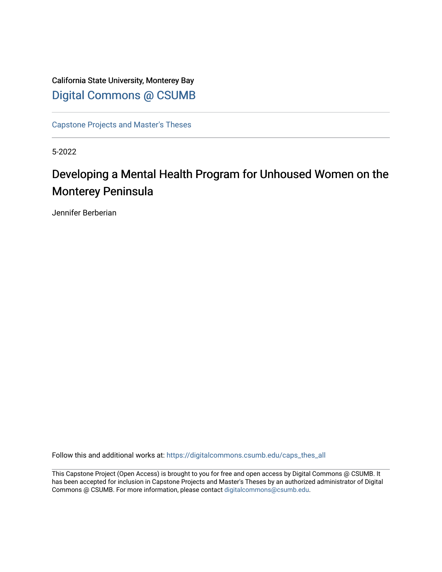California State University, Monterey Bay [Digital Commons @ CSUMB](https://digitalcommons.csumb.edu/)

[Capstone Projects and Master's Theses](https://digitalcommons.csumb.edu/caps_thes_all)

5-2022

# Developing a Mental Health Program for Unhoused Women on the Monterey Peninsula

Jennifer Berberian

Follow this and additional works at: [https://digitalcommons.csumb.edu/caps\\_thes\\_all](https://digitalcommons.csumb.edu/caps_thes_all?utm_source=digitalcommons.csumb.edu%2Fcaps_thes_all%2F1291&utm_medium=PDF&utm_campaign=PDFCoverPages)

This Capstone Project (Open Access) is brought to you for free and open access by Digital Commons @ CSUMB. It has been accepted for inclusion in Capstone Projects and Master's Theses by an authorized administrator of Digital Commons @ CSUMB. For more information, please contact [digitalcommons@csumb.edu](mailto:digitalcommons@csumb.edu).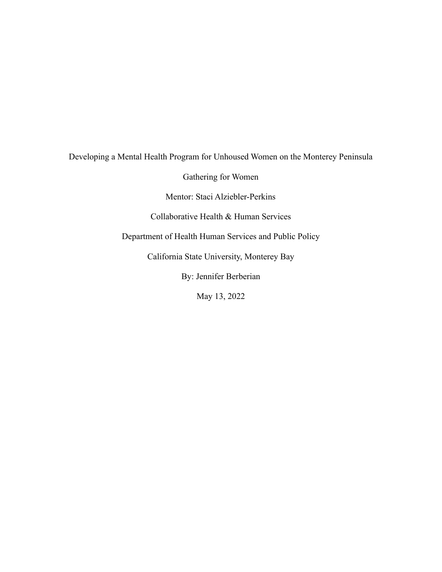## Developing a Mental Health Program for Unhoused Women on the Monterey Peninsula

Gathering for Women

Mentor: Staci Alziebler-Perkins

Collaborative Health & Human Services

Department of Health Human Services and Public Policy

California State University, Monterey Bay

By: Jennifer Berberian

May 13, 2022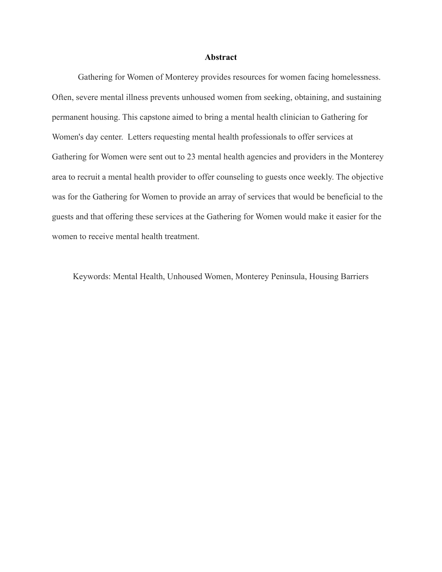## **Abstract**

Gathering for Women of Monterey provides resources for women facing homelessness. Often, severe mental illness prevents unhoused women from seeking, obtaining, and sustaining permanent housing. This capstone aimed to bring a mental health clinician to Gathering for Women's day center. Letters requesting mental health professionals to offer services at Gathering for Women were sent out to 23 mental health agencies and providers in the Monterey area to recruit a mental health provider to offer counseling to guests once weekly. The objective was for the Gathering for Women to provide an array of services that would be beneficial to the guests and that offering these services at the Gathering for Women would make it easier for the women to receive mental health treatment.

Keywords: Mental Health, Unhoused Women, Monterey Peninsula, Housing Barriers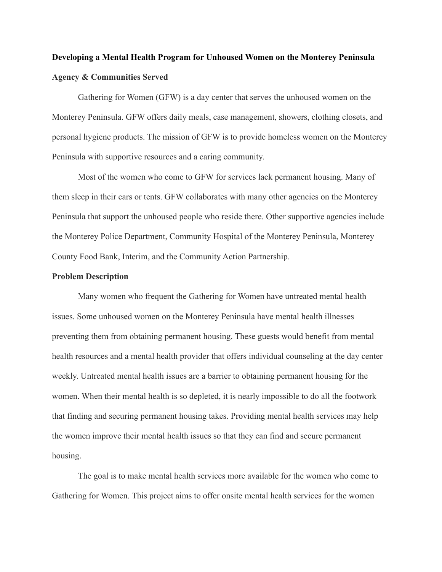## **Developing a Mental Health Program for Unhoused Women on the Monterey Peninsula Agency & Communities Served**

Gathering for Women (GFW) is a day center that serves the unhoused women on the Monterey Peninsula. GFW offers daily meals, case management, showers, clothing closets, and personal hygiene products. The mission of GFW is to provide homeless women on the Monterey Peninsula with supportive resources and a caring community.

Most of the women who come to GFW for services lack permanent housing. Many of them sleep in their cars or tents. GFW collaborates with many other agencies on the Monterey Peninsula that support the unhoused people who reside there. Other supportive agencies include the Monterey Police Department, Community Hospital of the Monterey Peninsula, Monterey County Food Bank, Interim, and the Community Action Partnership.

## **Problem Description**

Many women who frequent the Gathering for Women have untreated mental health issues. Some unhoused women on the Monterey Peninsula have mental health illnesses preventing them from obtaining permanent housing. These guests would benefit from mental health resources and a mental health provider that offers individual counseling at the day center weekly. Untreated mental health issues are a barrier to obtaining permanent housing for the women. When their mental health is so depleted, it is nearly impossible to do all the footwork that finding and securing permanent housing takes. Providing mental health services may help the women improve their mental health issues so that they can find and secure permanent housing.

The goal is to make mental health services more available for the women who come to Gathering for Women. This project aims to offer onsite mental health services for the women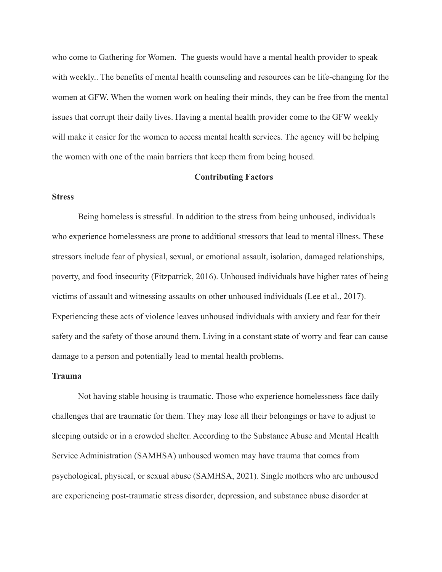who come to Gathering for Women. The guests would have a mental health provider to speak with weekly.. The benefits of mental health counseling and resources can be life-changing for the women at GFW. When the women work on healing their minds, they can be free from the mental issues that corrupt their daily lives. Having a mental health provider come to the GFW weekly will make it easier for the women to access mental health services. The agency will be helping the women with one of the main barriers that keep them from being housed.

## **Contributing Factors**

## **Stress**

Being homeless is stressful. In addition to the stress from being unhoused, individuals who experience homelessness are prone to additional stressors that lead to mental illness. These stressors include fear of physical, sexual, or emotional assault, isolation, damaged relationships, poverty, and food insecurity (Fitzpatrick, 2016). Unhoused individuals have higher rates of being victims of assault and witnessing assaults on other unhoused individuals (Lee et al., 2017). Experiencing these acts of violence leaves unhoused individuals with anxiety and fear for their safety and the safety of those around them. Living in a constant state of worry and fear can cause damage to a person and potentially lead to mental health problems.

## **Trauma**

Not having stable housing is traumatic. Those who experience homelessness face daily challenges that are traumatic for them. They may lose all their belongings or have to adjust to sleeping outside or in a crowded shelter. According to the Substance Abuse and Mental Health Service Administration (SAMHSA) unhoused women may have trauma that comes from psychological, physical, or sexual abuse (SAMHSA, 2021). Single mothers who are unhoused are experiencing post-traumatic stress disorder, depression, and substance abuse disorder at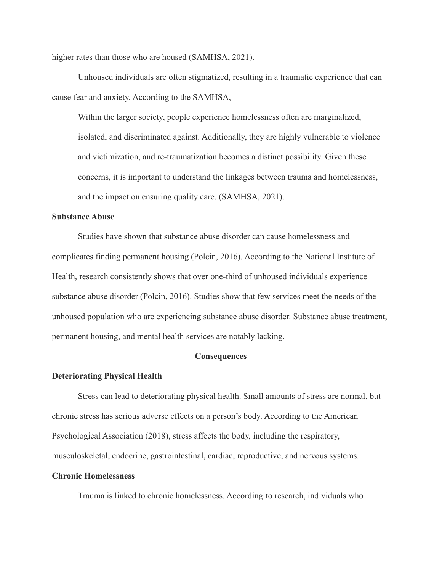higher rates than those who are housed (SAMHSA, 2021).

Unhoused individuals are often stigmatized, resulting in a traumatic experience that can cause fear and anxiety. According to the SAMHSA,

Within the larger society, people experience homelessness often are marginalized, isolated, and discriminated against. Additionally, they are highly vulnerable to violence and victimization, and re-traumatization becomes a distinct possibility. Given these concerns, it is important to understand the linkages between trauma and homelessness, and the impact on ensuring quality care. (SAMHSA, 2021).

## **Substance Abuse**

Studies have shown that substance abuse disorder can cause homelessness and complicates finding permanent housing (Polcin, 2016). According to the National Institute of Health, research consistently shows that over one-third of unhoused individuals experience substance abuse disorder (Polcin, 2016). Studies show that few services meet the needs of the unhoused population who are experiencing substance abuse disorder. Substance abuse treatment, permanent housing, and mental health services are notably lacking.

## **Consequences**

## **Deteriorating Physical Health**

Stress can lead to deteriorating physical health. Small amounts of stress are normal, but chronic stress has serious adverse effects on a person's body. According to the American Psychological Association (2018), stress affects the body, including the respiratory, musculoskeletal, endocrine, gastrointestinal, cardiac, reproductive, and nervous systems.

## **Chronic Homelessness**

Trauma is linked to chronic homelessness. According to research, individuals who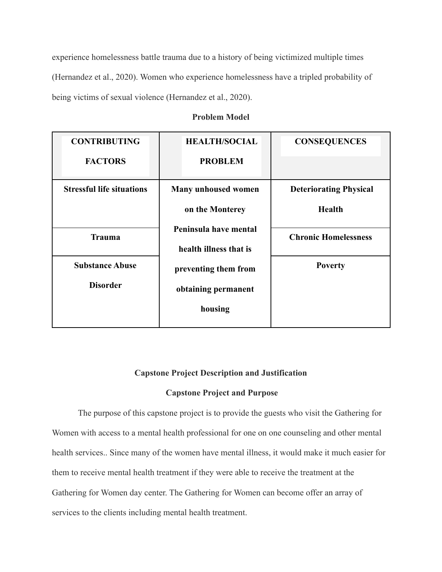experience homelessness battle trauma due to a history of being victimized multiple times (Hernandez et al., 2020). Women who experience homelessness have a tripled probability of being victims of sexual violence (Hernandez et al., 2020).

|  | <b>Problem Model</b> |
|--|----------------------|
|  |                      |

| <b>CONTRIBUTING</b>              | <b>HEALTH/SOCIAL</b>       | <b>CONSEQUENCES</b>           |
|----------------------------------|----------------------------|-------------------------------|
| <b>FACTORS</b>                   | <b>PROBLEM</b>             |                               |
| <b>Stressful life situations</b> | <b>Many unhoused women</b> | <b>Deteriorating Physical</b> |
|                                  | on the Monterey            | <b>Health</b>                 |
| <b>Trauma</b>                    | Peninsula have mental      | <b>Chronic Homelessness</b>   |
|                                  | health illness that is     |                               |
| <b>Substance Abuse</b>           | preventing them from       | <b>Poverty</b>                |
| <b>Disorder</b>                  | obtaining permanent        |                               |
|                                  | housing                    |                               |

## **Capstone Project Description and Justification**

## **Capstone Project and Purpose**

The purpose of this capstone project is to provide the guests who visit the Gathering for Women with access to a mental health professional for one on one counseling and other mental health services.. Since many of the women have mental illness, it would make it much easier for them to receive mental health treatment if they were able to receive the treatment at the Gathering for Women day center. The Gathering for Women can become offer an array of services to the clients including mental health treatment.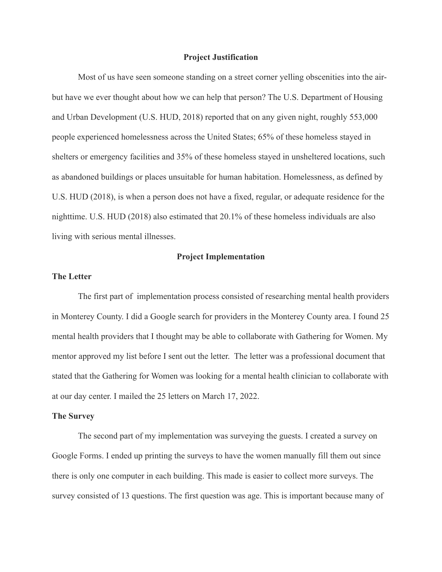## **Project Justification**

Most of us have seen someone standing on a street corner yelling obscenities into the airbut have we ever thought about how we can help that person? The U.S. Department of Housing and Urban Development (U.S. HUD, 2018) reported that on any given night, roughly 553,000 people experienced homelessness across the United States; 65% of these homeless stayed in shelters or emergency facilities and 35% of these homeless stayed in unsheltered locations, such as abandoned buildings or places unsuitable for human habitation. Homelessness, as defined by U.S. HUD (2018), is when a person does not have a fixed, regular, or adequate residence for the nighttime. U.S. HUD (2018) also estimated that 20.1% of these homeless individuals are also living with serious mental illnesses.

## **Project Implementation**

## **The Letter**

The first part of implementation process consisted of researching mental health providers in Monterey County. I did a Google search for providers in the Monterey County area. I found 25 mental health providers that I thought may be able to collaborate with Gathering for Women. My mentor approved my list before I sent out the letter. The letter was a professional document that stated that the Gathering for Women was looking for a mental health clinician to collaborate with at our day center. I mailed the 25 letters on March 17, 2022.

#### **The Survey**

The second part of my implementation was surveying the guests. I created a survey on Google Forms. I ended up printing the surveys to have the women manually fill them out since there is only one computer in each building. This made is easier to collect more surveys. The survey consisted of 13 questions. The first question was age. This is important because many of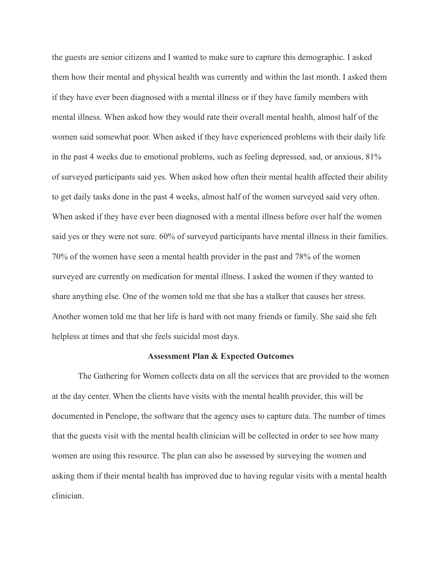the guests are senior citizens and I wanted to make sure to capture this demographic. I asked them how their mental and physical health was currently and within the last month. I asked them if they have ever been diagnosed with a mental illness or if they have family members with mental illness. When asked how they would rate their overall mental health, almost half of the women said somewhat poor. When asked if they have experienced problems with their daily life in the past 4 weeks due to emotional problems, such as feeling depressed, sad, or anxious, 81% of surveyed participants said yes. When asked how often their mental health affected their ability to get daily tasks done in the past 4 weeks, almost half of the women surveyed said very often. When asked if they have ever been diagnosed with a mental illness before over half the women said yes or they were not sure. 60% of surveyed participants have mental illness in their families. 70% of the women have seen a mental health provider in the past and 78% of the women surveyed are currently on medication for mental illness. I asked the women if they wanted to share anything else. One of the women told me that she has a stalker that causes her stress. Another women told me that her life is hard with not many friends or family. She said she felt helpless at times and that she feels suicidal most days.

#### **Assessment Plan & Expected Outcomes**

The Gathering for Women collects data on all the services that are provided to the women at the day center. When the clients have visits with the mental health provider, this will be documented in Penelope, the software that the agency uses to capture data. The number of times that the guests visit with the mental health clinician will be collected in order to see how many women are using this resource. The plan can also be assessed by surveying the women and asking them if their mental health has improved due to having regular visits with a mental health clinician.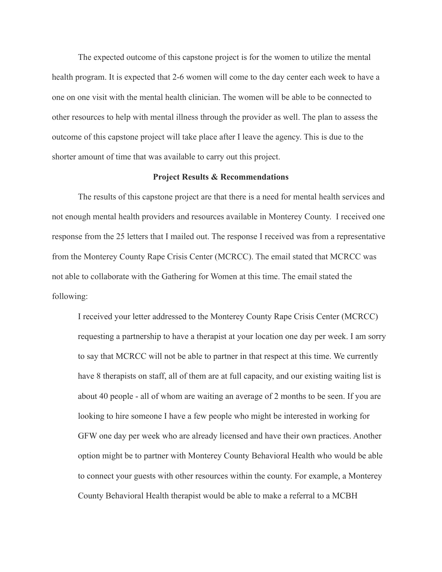The expected outcome of this capstone project is for the women to utilize the mental health program. It is expected that 2-6 women will come to the day center each week to have a one on one visit with the mental health clinician. The women will be able to be connected to other resources to help with mental illness through the provider as well. The plan to assess the outcome of this capstone project will take place after I leave the agency. This is due to the shorter amount of time that was available to carry out this project.

## **Project Results & Recommendations**

The results of this capstone project are that there is a need for mental health services and not enough mental health providers and resources available in Monterey County. I received one response from the 25 letters that I mailed out. The response I received was from a representative from the Monterey County Rape Crisis Center (MCRCC). The email stated that MCRCC was not able to collaborate with the Gathering for Women at this time. The email stated the following:

I received your letter addressed to the Monterey County Rape Crisis Center (MCRCC) requesting a partnership to have a therapist at your location one day per week. I am sorry to say that MCRCC will not be able to partner in that respect at this time. We currently have 8 therapists on staff, all of them are at full capacity, and our existing waiting list is about 40 people - all of whom are waiting an average of 2 months to be seen. If you are looking to hire someone I have a few people who might be interested in working for GFW one day per week who are already licensed and have their own practices. Another option might be to partner with Monterey County Behavioral Health who would be able to connect your guests with other resources within the county. For example, a Monterey County Behavioral Health therapist would be able to make a referral to a MCBH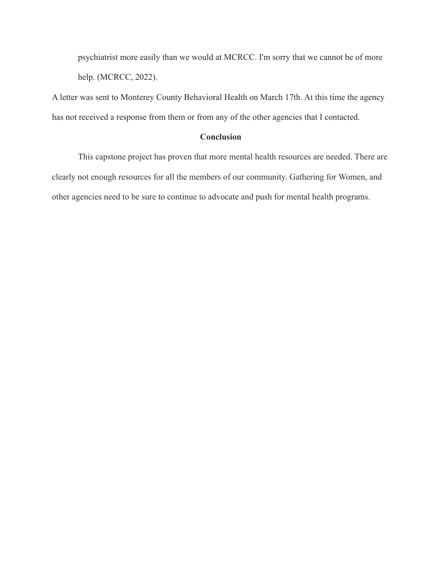psychiatrist more easily than we would at MCRCC. I'm sorry that we cannot be of more help. (MCRCC, 2022).

A letter was sent to Monterey County Behavioral Health on March 17th. At this time the agency has not received a response from them or from any of the other agencies that I contacted.

## **Conclusion**

This capstone project has proven that more mental health resources are needed. There are clearly not enough resources for all the members of our community. Gathering for Women, and other agencies need to be sure to continue to advocate and push for mental health programs.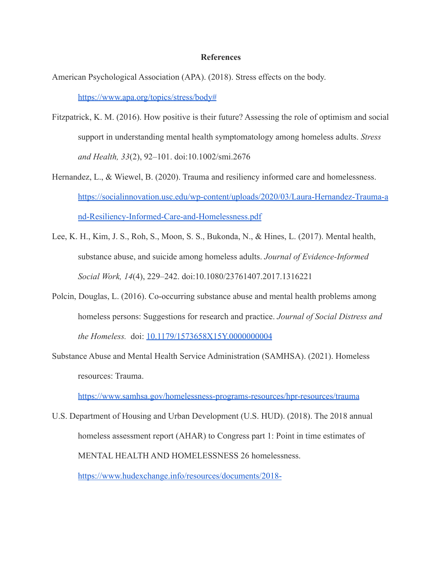## **References**

- American Psychological Association (APA). (2018). Stress effects on the body. <https://www.apa.org/topics/stress/body#>
- Fitzpatrick, K. M. (2016). How positive is their future? Assessing the role of optimism and social support in understanding mental health symptomatology among homeless adults. *Stress and Health, 33*(2), 92–101. doi:10.1002/smi.2676
- Hernandez, L., & Wiewel, B. (2020). Trauma and resiliency informed care and homelessness. [https://socialinnovation.usc.edu/wp-content/uploads/2020/03/Laura-Hernandez-Trauma-a](https://socialinnovation.usc.edu/wp-content/uploads/2020/03/Laura-Hernandez-Trauma-and-Resiliency-Informed-Care-and-Homelessness.pdf) [nd-Resiliency-Informed-Care-and-Homelessness.pdf](https://socialinnovation.usc.edu/wp-content/uploads/2020/03/Laura-Hernandez-Trauma-and-Resiliency-Informed-Care-and-Homelessness.pdf)
- Lee, K. H., Kim, J. S., Roh, S., Moon, S. S., Bukonda, N., & Hines, L. (2017). Mental health, substance abuse, and suicide among homeless adults. *Journal of Evidence-Informed Social Work, 14*(4), 229–242. doi:10.1080/23761407.2017.1316221
- Polcin, Douglas, L. (2016). Co-occurring substance abuse and mental health problems among homeless persons: Suggestions for research and practice. *Journal of Social Distress and the Homeless.* doi: [10.1179/1573658X15Y.0000000004](https://dx.doi.org/10.1179%2F1573658X15Y.0000000004)
- Substance Abuse and Mental Health Service Administration (SAMHSA). (2021). Homeless resources: Trauma.

<https://www.samhsa.gov/homelessness-programs-resources/hpr-resources/trauma>

U.S. Department of Housing and Urban Development (U.S. HUD). (2018). The 2018 annual homeless assessment report (AHAR) to Congress part 1: Point in time estimates of MENTAL HEALTH AND HOMELESSNESS 26 homelessness. <https://www.hudexchange.info/resources/documents/2018->